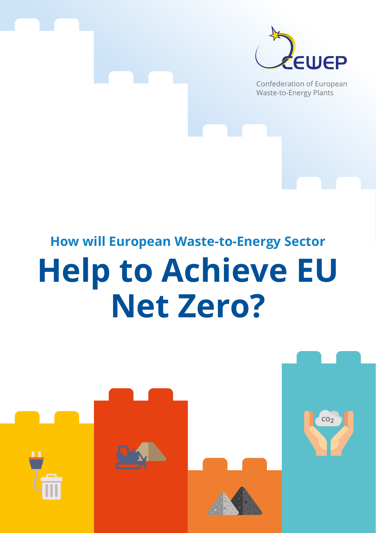

Confederation of European Waste-to-Energy Plants

**CO2**

# **How will European Waste-to-Energy Sector**

# **Help to Achieve EU Net Zero?**

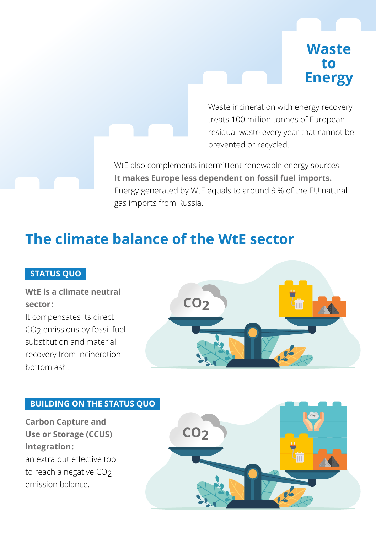### **Waste to Energy**

Waste incineration with energy recovery treats 100 million tonnes of European residual waste every year that cannot be prevented or recycled.

WtE also complements intermittent renewable energy sources. **It makes Europe less dependent on fossil fuel imports.**  Energy generated by WtE equals to around 9 % of the EU natural gas imports from Russia.

## **The climate balance of the WtE sector**

#### **STATUS QUO**

#### **WtE is a climate neutral sector:**

It compensates its direct CO<sub>2</sub> emissions by fossil fuel substitution and material recovery from incineration bottom ash.



#### **BUILDING ON THE STATUS QUO**

**Carbon Capture and Use or Storage (CCUS) integration:**  an extra but effective tool to reach a negative CO<sub>2</sub> emission balance.

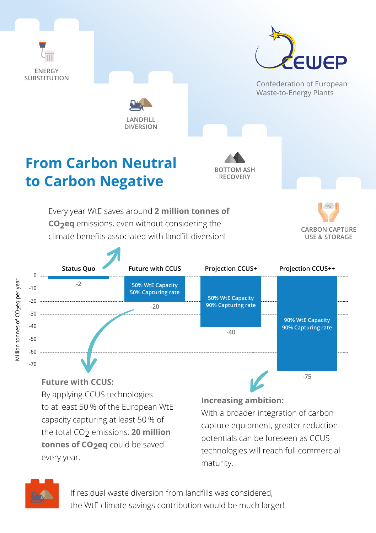

By applying CCUS technologies to at least 50 % of the European WtE capacity capturing at least 50 % of the total CO<sub>2</sub> emissions, 20 million **tonnes of CO2eq** could be saved every year.

#### **Increasing ambition:**

With a broader integration of carbon capture equipment, greater reduction potentials can be foreseen as CCUS technologies will reach full commercial maturity.



If residual waste diversion from landfills was considered, the WtE climate savings contribution would be much larger!